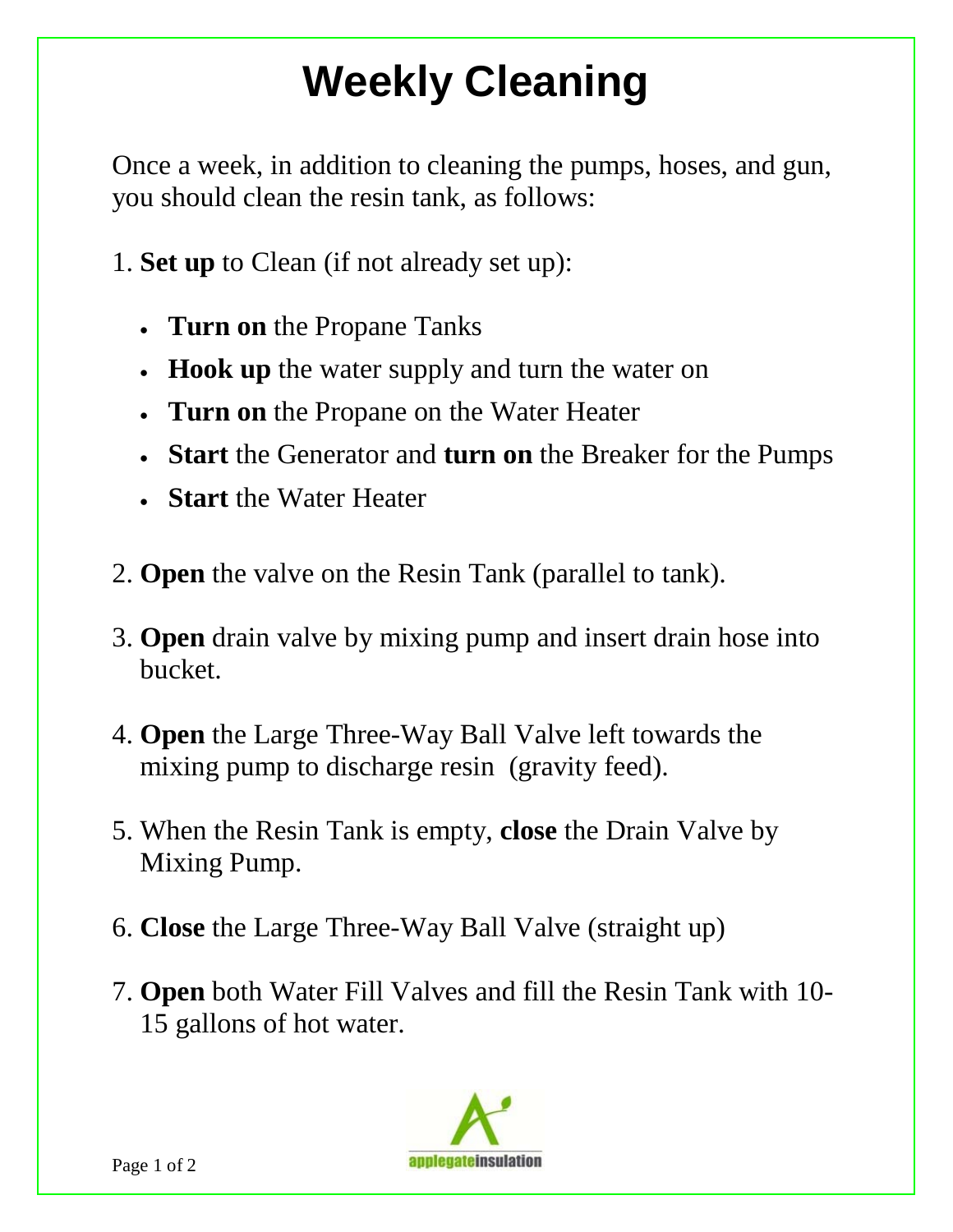## **Weekly Cleaning**

Once a week, in addition to cleaning the pumps, hoses, and gun, you should clean the resin tank, as follows:

- 1. **Set up** to Clean (if not already set up):
	- **Turn on** the Propane Tanks
	- **Hook up** the water supply and turn the water on
	- **Turn on** the Propane on the Water Heater
	- **Start** the Generator and **turn on** the Breaker for the Pumps
	- **Start** the Water Heater
- 2. **Open** the valve on the Resin Tank (parallel to tank).
- 3. **Open** drain valve by mixing pump and insert drain hose into bucket.
- 4. **Open** the Large Three-Way Ball Valve left towards the mixing pump to discharge resin (gravity feed).
- 5. When the Resin Tank is empty, **close** the Drain Valve by Mixing Pump.
- 6. **Close** the Large Three-Way Ball Valve (straight up)
- 7. **Open** both Water Fill Valves and fill the Resin Tank with 10 15 gallons of hot water.